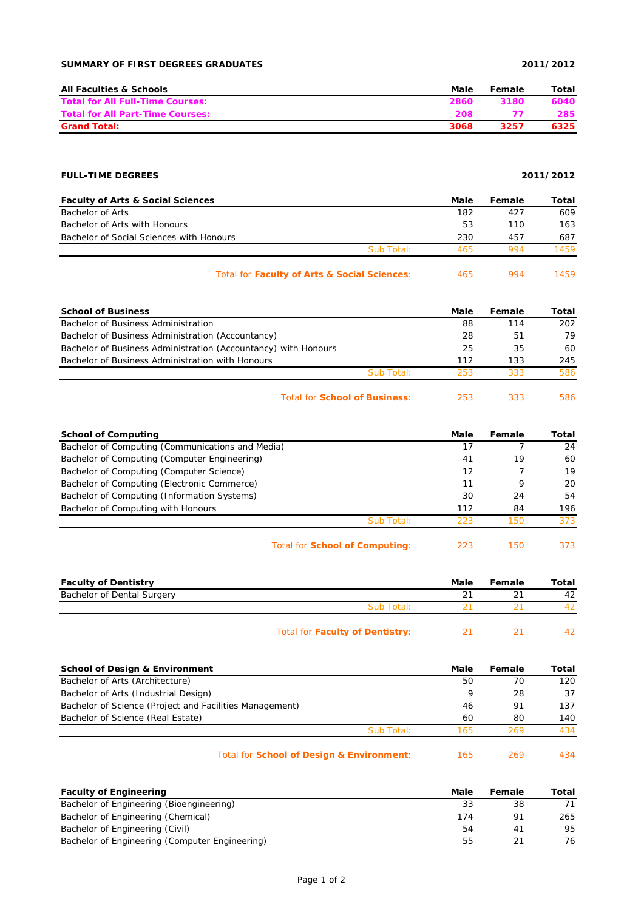### **SUMMARY OF FIRST DEGREES GRADUATES 2011/2012**

| <b>All Faculties &amp; Schools</b>      | Male | Female | Total |
|-----------------------------------------|------|--------|-------|
| <b>Total for All Full-Time Courses:</b> | 2860 | 3180   | 6040  |
| <b>Total for All Part-Time Courses:</b> | 208  |        | 285   |
| <b>Grand Total:</b>                     | 3068 | 3257   | 6325  |

### **FULL-TIME DEGREES 2011/2012**

| <b>Faculty of Arts &amp; Social Sciences</b> |            | Male | Female | Total |
|----------------------------------------------|------------|------|--------|-------|
| Bachelor of Arts                             |            | 182  | 427    | 609   |
| Bachelor of Arts with Honours                |            | 53   | 110    | 163   |
| Bachelor of Social Sciences with Honours     |            | 230  | 457    | 687   |
|                                              | Sub Total: | 465  | 994    | 1459  |
|                                              |            |      |        |       |

| Total for Faculty of Arts & Social Sciences: | 994 | 1459 |
|----------------------------------------------|-----|------|
|                                              |     |      |

| <b>School of Business</b>                                      |            | Male | Female | Total |
|----------------------------------------------------------------|------------|------|--------|-------|
| Bachelor of Business Administration                            |            | 88   | 114    | 202   |
| Bachelor of Business Administration (Accountancy)              |            | 28   | 51     | 79    |
| Bachelor of Business Administration (Accountancy) with Honours |            | 25   | 35     | 60    |
| Bachelor of Business Administration with Honours               |            | 112  | 133    | 245   |
|                                                                | Sub Total: | 253  | 333    | 586   |
|                                                                |            |      |        |       |

Total for **School of Business**: 253 333 586

| <b>School of Computing</b>                       | Male | Female | Total |
|--------------------------------------------------|------|--------|-------|
| Bachelor of Computing (Communications and Media) |      |        | 24    |
| Bachelor of Computing (Computer Engineering)     | 41   | 19     | 60    |
| Bachelor of Computing (Computer Science)         | 12   |        | 19    |
| Bachelor of Computing (Electronic Commerce)      | 11   | 9      | 20    |
| Bachelor of Computing (Information Systems)      | 30   | 24     | 54    |
| Bachelor of Computing with Honours               | 112  | 84     | 196   |
| Sub Total:                                       | 223  | 150    | 373   |
| Total for <b>School of Computing:</b>            | 223  | 150    | 373   |

| <b>Faculty of Dentistry</b> |                                 | Male | Female | Total |
|-----------------------------|---------------------------------|------|--------|-------|
| Bachelor of Dental Surgery  |                                 | 21   |        | 42    |
|                             | Sub Total:                      |      |        |       |
|                             | Total for Faculty of Dentistry: |      |        |       |

| <b>School of Design &amp; Environment</b>               | Male | Female | Total |
|---------------------------------------------------------|------|--------|-------|
| Bachelor of Arts (Architecture)                         | 50   | 70     | 120   |
| Bachelor of Arts (Industrial Design)                    | 9    | 28     | 37    |
| Bachelor of Science (Project and Facilities Management) | 46   | 91     | 137   |
| Bachelor of Science (Real Estate)                       | 60   | 80     | 140   |
| Sub Total:                                              | 165  | 269    | 434   |
| Total for School of Design & Environment:               | 165  | 269    | 434   |

| <b>Faculty of Engineering</b>                  | Male | Female | Total |
|------------------------------------------------|------|--------|-------|
| Bachelor of Engineering (Bioengineering)       | 33   | 38     |       |
| Bachelor of Engineering (Chemical)             | 174  | 91     | 265   |
| Bachelor of Engineering (Civil)                | 54   | 41     | 95    |
| Bachelor of Engineering (Computer Engineering) | 55   |        | 76.   |